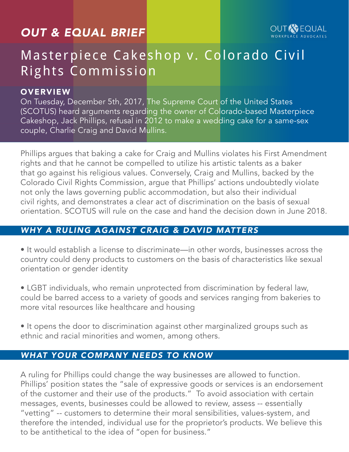# *OUT & EQUAL BRIEF*

# Masterpiece Cakeshop v. Colorado Civil Rights Commission

#### **OVERVIEW**

On Tuesday, December 5th, 2017, The Supreme Court of the United States (SCOTUS) heard arguments regarding the owner of Colorado-based Masterpiece Cakeshop, Jack Phillips, refusal in 2012 to make a wedding cake for a same-sex couple, Charlie Craig and David Mullins.

Phillips argues that baking a cake for Craig and Mullins violates his First Amendment rights and that he cannot be compelled to utilize his artistic talents as a baker that go against his religious values. Conversely, Craig and Mullins, backed by the Colorado Civil Rights Commission, argue that Phillips' actions undoubtedly violate not only the laws governing public accommodation, but also their individual civil rights, and demonstrates a clear act of discrimination on the basis of sexual orientation. SCOTUS will rule on the case and hand the decision down in June 2018.

## *WHY A RULING AGAINST CRAIG & DAVID MATTERS*

• It would establish a license to discriminate—in other words, businesses across the country could deny products to customers on the basis of characteristics like sexual orientation or gender identity

• LGBT individuals, who remain unprotected from discrimination by federal law, could be barred access to a variety of goods and services ranging from bakeries to more vital resources like healthcare and housing

• It opens the door to discrimination against other marginalized groups such as ethnic and racial minorities and women, among others.

## *WHAT YOUR COMPANY NEEDS TO KNOW*

A ruling for Phillips could change the way businesses are allowed to function. Phillips' position states the "sale of expressive goods or services is an endorsement of the customer and their use of the products." To avoid association with certain messages, events, businesses could be allowed to review, assess -- essentially "vetting" -- customers to determine their moral sensibilities, values-system, and therefore the intended, individual use for the proprietor's products. We believe this to be antithetical to the idea of "open for business."